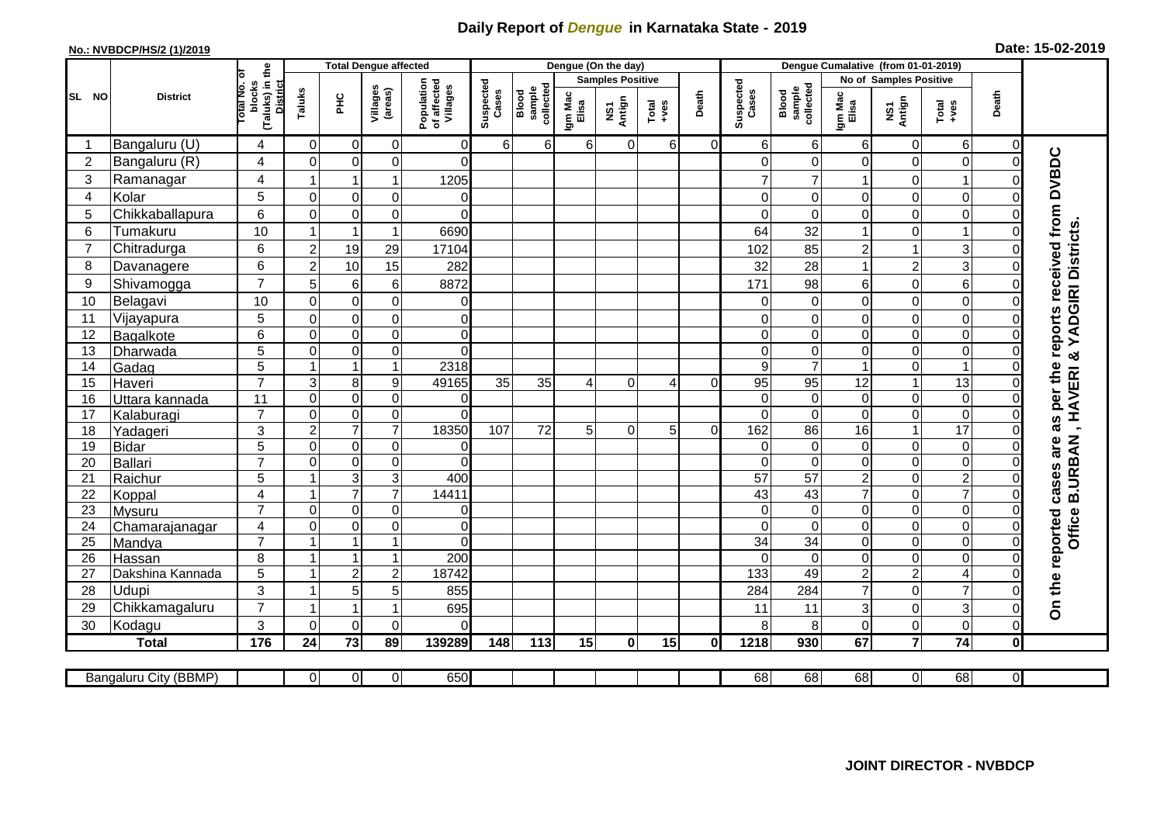## **Daily Report of** *Dengue* **in Karnataka State - 2019**

## **No.: NVBDCP/HS/2 (1)/2019**

| Date: 15-02-2019 |  |  |
|------------------|--|--|
|------------------|--|--|

|                |                       | <b>Total Dengue affected</b>                       |                         |                         |                     |                                       |                    |                              |                  | Dengue (On the day)     |          |          |                    |                              |                         |                         |                  |              |                                        |
|----------------|-----------------------|----------------------------------------------------|-------------------------|-------------------------|---------------------|---------------------------------------|--------------------|------------------------------|------------------|-------------------------|----------|----------|--------------------|------------------------------|-------------------------|-------------------------|------------------|--------------|----------------------------------------|
|                |                       | Б                                                  |                         |                         |                     |                                       |                    |                              |                  | <b>Samples Positive</b> |          |          |                    |                              |                         | No of Samples Positive  |                  |              |                                        |
| SL NO          | <b>District</b>       | (Taluks) in the<br>District<br>lotal No.<br>blocks | Taluks                  | нc                      | Villages<br>(areas) | Population<br>of affected<br>Villages | Suspected<br>Cases | sample<br>collected<br>Blood | Igm Mac<br>Elisa | NS1<br>Antign           | $Totael$ | Death    | Suspected<br>Cases | sample<br>collected<br>Blood | Igm Mac<br>Elisa        | NS1<br>Antign           | Total<br>+ves    | Death        |                                        |
|                | Bangaluru (U)         | 4                                                  | $\Omega$                | $\mathbf 0$             | 0                   | $\Omega$                              | 6                  | $6 \mid$                     | 6 <sup>1</sup>   | $\mathbf 0$             | 6        | $\Omega$ | 61                 | 6                            | 6                       | $\overline{0}$          | 6                | $\Omega$     |                                        |
| $\overline{2}$ | Bangaluru (R)         | 4                                                  | $\Omega$                | 0                       | 0                   | $\Omega$                              |                    |                              |                  |                         |          |          |                    | 0                            | 0                       | $\mathbf 0$             | $\boldsymbol{0}$ | $\Omega$     |                                        |
| 3              | Ramanagar             | 4                                                  | 1                       | 1                       | 1                   | 1205                                  |                    |                              |                  |                         |          |          |                    | $\overline{7}$               | 1                       | 0                       | $\mathbf 1$      |              | as per the reports received from DVBDC |
| $\overline{4}$ | Kolar                 | 5                                                  | $\mathbf 0$             | $\mathbf 0$             | 0                   | 0                                     |                    |                              |                  |                         |          |          | $\Omega$           | 0                            | 0                       | $\overline{0}$          | $\mathbf 0$      |              |                                        |
| 5              | Chikkaballapura       | 6                                                  | $\Omega$                | $\mathbf 0$             | 0                   | $\Omega$                              |                    |                              |                  |                         |          |          |                    | 0                            | 0                       | $\mathbf 0$             | $\mathbf 0$      |              |                                        |
| 6              | Tumakuru              | 10                                                 |                         | $\overline{1}$          | $\mathbf{1}$        | 6690                                  |                    |                              |                  |                         |          |          | 64                 | 32                           | 1                       | $\mathbf 0$             | $\mathbf 1$      |              |                                        |
| $\overline{7}$ | Chitradurga           | 6                                                  | $\overline{2}$          | 19                      | 29                  | 17104                                 |                    |                              |                  |                         |          |          | 102                | 85                           | $\overline{c}$          | $\mathbf{1}$            | 3                |              |                                        |
| 8              | Davanagere            | 6                                                  | $\mathbf 2$             | 10                      | 15                  | 282                                   |                    |                              |                  |                         |          |          | 32                 | 28                           | $\mathbf{1}$            | $\overline{c}$          | 3                |              |                                        |
| 9              | Shivamogga            | $\overline{7}$                                     | 5                       | 6                       | 6                   | 8872                                  |                    |                              |                  |                         |          |          | 171                | 98                           | 6                       | $\mathbf 0$             | 6                |              | , HAVERI & YADGIRI Districts           |
| 10             | Belagavi              | 10                                                 | $\mathbf 0$             | $\mathbf 0$             | $\mathbf 0$         | $\overline{0}$                        |                    |                              |                  |                         |          |          | $\Omega$           | $\mathbf 0$                  | 0                       | $\overline{0}$          | $\boldsymbol{0}$ |              |                                        |
| 11             | Vijayapura            | 5                                                  | $\Omega$                | $\mathbf 0$             | 0                   | $\overline{0}$                        |                    |                              |                  |                         |          |          |                    | 0                            | 0                       | $\mathbf 0$             | $\mathbf 0$      |              |                                        |
| 12             | Bagalkote             | 6                                                  | $\mathbf 0$             | $\mathbf 0$             | $\overline{0}$      | $\overline{0}$                        |                    |                              |                  |                         |          |          | $\Omega$           | $\mathbf 0$                  | 0                       | $\mathbf 0$             | $\overline{0}$   |              |                                        |
| 13             | Dharwada              | $\overline{5}$                                     | $\mathbf 0$             | $\boldsymbol{0}$        | $\overline{0}$      | $\Omega$                              |                    |                              |                  |                         |          |          | $\Omega$           | $\mathbf 0$                  | 0                       | $\overline{0}$          | $\pmb{0}$        |              |                                        |
| 14             | Gadag                 | $\overline{5}$                                     | $\mathbf{1}$            | $\overline{1}$          | $\mathbf{1}$        | 2318                                  |                    |                              |                  |                         |          |          | 9                  | $\overline{7}$               | 1                       | $\mathbf 0$             | $\mathbf{1}$     |              |                                        |
| 15             | Haveri                | $\overline{7}$                                     | $\overline{3}$          | 8                       | 9                   | 49165                                 | 35                 | 35                           | $\Delta$         | $\Omega$                | 4        | $\Omega$ | 95                 | 95                           | 12                      | $\mathbf{1}$            | 13               | $\Omega$     |                                        |
| 16             | Uttara kannada        | 11                                                 | $\mathbf 0$             | $\mathbf 0$             | 0                   | $\overline{0}$                        |                    |                              |                  |                         |          |          | $\Omega$           | $\mathbf 0$                  | 0                       | $\overline{0}$          | $\boldsymbol{0}$ |              |                                        |
| 17             | Kalaburagi            | $\overline{7}$                                     | $\mathbf 0$             | $\mathbf 0$             | 0                   | $\Omega$                              |                    |                              |                  |                         |          |          | $\Omega$           | $\mathbf 0$                  | 0                       | $\mathbf 0$             | $\boldsymbol{0}$ |              |                                        |
| 18             | Yadageri              | 3                                                  | $\overline{c}$          | $\overline{7}$          | $\overline{7}$      | 18350                                 | 107                | 72                           | 5 <sup>1</sup>   | $\Omega$                | 5        | $\Omega$ | 162                | 86                           | 16                      | $\mathbf{1}$            | $\overline{17}$  |              |                                        |
| 19             | <b>Bidar</b>          | $\overline{5}$                                     | $\mathbf 0$             | $\pmb{0}$               | 0                   | $\mathbf 0$                           |                    |                              |                  |                         |          |          | $\Omega$           | $\mathbf 0$                  | 0                       | $\mathbf 0$             | $\pmb{0}$        |              | are                                    |
| 20             | <b>Ballari</b>        | $\overline{7}$                                     | $\Omega$                | $\mathbf 0$             | 0                   | $\Omega$                              |                    |                              |                  |                         |          |          | $\Omega$           | $\mathbf 0$                  | 0                       | $\mathbf 0$             | $\boldsymbol{0}$ | 0            |                                        |
| 21             | Raichur               | 5                                                  | $\overline{ }$          | $\mathsf 3$             | $\overline{3}$      | 400                                   |                    |                              |                  |                         |          |          | $\overline{57}$    | $\overline{57}$              | $\overline{2}$          | $\overline{0}$          | $\overline{2}$   |              | Office B.URBAN<br>cases                |
| 22             | Koppal                | $\overline{\mathbf{4}}$                            | $\overline{1}$          | $\overline{7}$          | $\overline{7}$      | 14411                                 |                    |                              |                  |                         |          |          | 43                 | 43                           | $\overline{7}$          | $\pmb{0}$               | $\overline{7}$   |              |                                        |
| 23             | Mysuru                | $\overline{7}$                                     | $\mathbf 0$             | $\pmb{0}$               | 0                   | $\overline{0}$                        |                    |                              |                  |                         |          |          | $\Omega$           | $\mathbf 0$                  | 0                       | $\mathbf 0$             | $\mathbf 0$      |              |                                        |
| 24             | Chamarajanagar        | 4                                                  | $\Omega$                | $\mathbf 0$             | 0                   | $\overline{0}$                        |                    |                              |                  |                         |          |          | $\Omega$           | $\Omega$                     | $\Omega$                | $\mathbf 0$             | $\mathbf 0$      |              |                                        |
| 25             | Mandya                | $\overline{7}$                                     | $\overline{1}$          | $\overline{1}$          | $\mathbf{1}$        | $\Omega$                              |                    |                              |                  |                         |          |          | $\overline{34}$    | $\overline{34}$              | 0                       | $\mathbf 0$             | $\boldsymbol{0}$ | $\Omega$     |                                        |
| 26             | Hassan                | 8                                                  | -1                      | $\overline{\mathbf{1}}$ | 1                   | 200                                   |                    |                              |                  |                         |          |          |                    | $\Omega$                     | $\overline{0}$          | $\overline{0}$          | $\boldsymbol{0}$ |              |                                        |
| 27             | Dakshina Kannada      | 5                                                  | $\overline{1}$          | $\overline{c}$          | $\overline{c}$      | 18742                                 |                    |                              |                  |                         |          |          | 133                | 49                           | $\overline{\mathbf{c}}$ | $\overline{c}$          | $\overline{4}$   |              |                                        |
| 28             | Udupi                 | 3                                                  | $\overline{\mathbf{1}}$ | 5                       | 5                   | 855                                   |                    |                              |                  |                         |          |          | 284                | 284                          | $\overline{7}$          | $\overline{0}$          | $\overline{7}$   |              | On the reported                        |
| 29             | Chikkamagaluru        | $\overline{7}$                                     | 1                       | -1                      | 1                   | 695                                   |                    |                              |                  |                         |          |          | 11                 | 11                           | 3                       | $\mathbf 0$             | $\mathbf{3}$     |              |                                        |
| 30             | Kodagu                | 3                                                  | $\Omega$                | $\Omega$                | $\overline{0}$      | $\Omega$                              |                    |                              |                  |                         |          |          | 8                  | 8                            | 0                       | $\Omega$                | $\mathbf 0$      | $\Omega$     |                                        |
|                | <b>Total</b>          | 176                                                | 24                      | $\frac{1}{73}$          | 89                  | 139289                                | 148                | 113                          | 15               | $\mathbf 0$             | 15       | 0        | 1218               | 930                          | 67                      | $\overline{\mathbf{7}}$ | $\overline{74}$  | $\mathbf{0}$ |                                        |
|                | Bangaluru City (BBMP) |                                                    | $\overline{0}$          | $\overline{0}$          | $\overline{0}$      | 650                                   |                    |                              |                  |                         |          |          | 68                 | $\overline{68}$              | $\overline{68}$         | $\overline{0}$          | 68               | οI           |                                        |